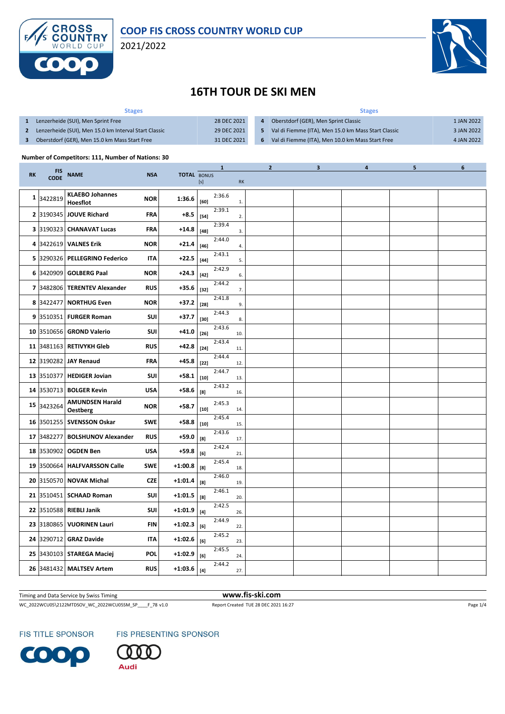



#### **16TH TOUR DE SKI MEN**

| <b>Stages</b>                                         |             | <b>Stages</b> |                                                     |            |  |  |  |  |
|-------------------------------------------------------|-------------|---------------|-----------------------------------------------------|------------|--|--|--|--|
| Lenzerheide (SUI), Men Sprint Free                    | 28 DEC 2021 |               | Oberstdorf (GER), Men Sprint Classic                | 1 JAN 2022 |  |  |  |  |
| Lenzerheide (SUI), Men 15.0 km Interval Start Classic | 29 DEC 2021 |               | Val di Fiemme (ITA), Men 15.0 km Mass Start Classic | 3 JAN 2022 |  |  |  |  |
| Oberstdorf (GER), Men 15.0 km Mass Start Free         | 31 DEC 2021 | -6            | Val di Fiemme (ITA), Men 10.0 km Mass Start Free    | 4 JAN 2022 |  |  |  |  |

#### **Number of Competitors: 111, Number of Nations: 30**

|           |                           |                                    |            |                    |        | $\mathbf{1}$ |                | $\overline{2}$ | $\mathbf{3}$ | $\overline{\mathbf{4}}$ | 5 | 6 |
|-----------|---------------------------|------------------------------------|------------|--------------------|--------|--------------|----------------|----------------|--------------|-------------------------|---|---|
| <b>RK</b> | <b>FIS</b><br><b>CODE</b> | <b>NAME</b>                        | <b>NSA</b> | <b>TOTAL BONUS</b> | [s]    |              | RK             |                |              |                         |   |   |
| 1         | 3422819                   | <b>KLAEBO Johannes</b><br>Hoesflot | <b>NOR</b> | 1:36.6             | [60]   | 2:36.6       | $\mathbf{1}$ . |                |              |                         |   |   |
|           |                           | 2 3190345 JOUVE Richard            | <b>FRA</b> | +8.5               | $[54]$ | 2:39.1       | 2.             |                |              |                         |   |   |
|           |                           | 3 3190323 CHANAVAT Lucas           | <b>FRA</b> | $+14.8$            | $[48]$ | 2:39.4       | 3.             |                |              |                         |   |   |
|           |                           | 4 3422619 VALNES Erik              | <b>NOR</b> | $+21.4$            | $[46]$ | 2:44.0       | 4.             |                |              |                         |   |   |
| 5.        |                           | 3290326   PELLEGRINO Federico      | IΤΑ        | +22.5              | $[44]$ | 2:43.1       | 5.             |                |              |                         |   |   |
|           |                           | 6 3420909 GOLBERG Paal             | <b>NOR</b> | $+24.3$            | $[42]$ | 2:42.9       | 6.             |                |              |                         |   |   |
|           |                           | 7 3482806 TERENTEV Alexander       | <b>RUS</b> | +35.6              | $[32]$ | 2:44.2       | 7.             |                |              |                         |   |   |
| 8         |                           | 3422477   NORTHUG Even             | <b>NOR</b> | +37.2              | $[28]$ | 2:41.8       | 9.             |                |              |                         |   |   |
|           |                           | 9 3510351 FURGER Roman             | SUI        | $+37.7$            | $[30]$ | 2:44.3       | 8.             |                |              |                         |   |   |
|           |                           | 10 3510656 GROND Valerio           | SUI        | $+41.0$            | $[26]$ | 2:43.6       | 10.            |                |              |                         |   |   |
| 11        |                           | 3481163   RETIVYKH Gleb            | <b>RUS</b> | $+42.8$            | $[24]$ | 2:43.4       | 11.            |                |              |                         |   |   |
|           |                           | 12 3190282 JAY Renaud              | FRA        | +45.8              | $[22]$ | 2:44.4       | 12.            |                |              |                         |   |   |
|           |                           | 13 3510377 HEDIGER Jovian          | <b>SUI</b> | $+58.1$            | $[10]$ | 2:44.7       | 13.            |                |              |                         |   |   |
|           |                           | 14 3530713 BOLGER Kevin            | USA        | +58.6              | [8]    | 2:43.2       | 16.            |                |              |                         |   |   |
| 15        | 3423264                   | <b>AMUNDSEN Harald</b><br>Oestberg | <b>NOR</b> | $+58.7$            | $[10]$ | 2:45.3       | 14.            |                |              |                         |   |   |
|           |                           | 16 3501255 SVENSSON Oskar          | <b>SWE</b> | $+58.8$            | $[10]$ | 2:45.4       | 15.            |                |              |                         |   |   |
| 17        |                           | 3482277 BOLSHUNOV Alexander        | <b>RUS</b> | +59.0              | [8]    | 2:43.6       | 17.            |                |              |                         |   |   |
| 18        |                           | 3530902   OGDEN Ben                | USA        | +59.8              | [6]    | 2:42.4       | 21.            |                |              |                         |   |   |
|           |                           | 19 3500664   HALFVARSSON Calle     | <b>SWE</b> | $+1:00.8$          | [8]    | 2:45.4       | 18.            |                |              |                         |   |   |
|           |                           | 20 3150570 NOVAK Michal            | <b>CZF</b> | $+1:01.4$          | [8]    | 2:46.0       | 19.            |                |              |                         |   |   |
|           |                           | 21 3510451 SCHAAD Roman            | <b>SUI</b> | $+1:01.5$          | [8]    | 2:46.1       | 20.            |                |              |                         |   |   |
|           |                           | 22 3510588 RIEBLI Janik            | SUI        | $+1:01.9$          | $[4]$  | 2:42.5       | 26.            |                |              |                         |   |   |
|           |                           | 23 3180865 VUORINEN Lauri          | <b>FIN</b> | $+1:02.3$          | [6]    | 2:44.9       | 22.            |                |              |                         |   |   |
|           |                           | 24 3290712 GRAZ Davide             | IΤΑ        | $+1:02.6$          | [6]    | 2:45.2       | 23.            |                |              |                         |   |   |
|           |                           | 25 3430103 STAREGA Maciej          | <b>POL</b> | $+1:02.9$          | [6]    | 2:45.5       | 24.            |                |              |                         |   |   |
|           |                           | 26 3481432 MALTSEV Artem           | <b>RUS</b> | $+1:03.6$          | $[4]$  | 2:44.2       | 27.            |                |              |                         |   |   |
|           |                           |                                    |            |                    |        |              |                |                |              |                         |   |   |

Timing and Data Service by Swiss Timing **www.fis-ski.com**

WC\_2022WCU05\2122MTDSOV\_WC\_2022WCU05SM\_SP\_\_\_\_F\_78 v1.0 Report Created TUE 28 DEC 2021 16:27 Page 1/4

**FIS TITLE SPONSOR** 



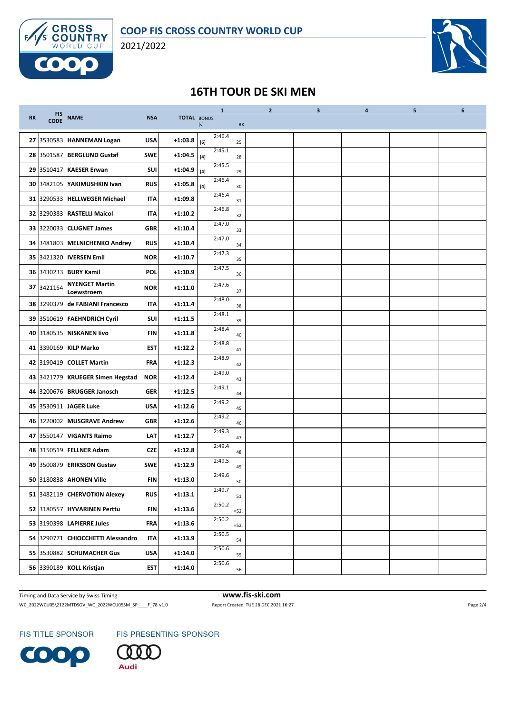



# **16TH TOUR DE SKI MEN**

|           |                           |                                     |            |                    |                                                                                                                                                                                                                                                                                                                                                                                                                                                                                                                                                                                                                                                                    | $\mathbf{1}$ |           | $\overline{2}$ | $\mathbf{3}$ | 4 | 5 | 6 |
|-----------|---------------------------|-------------------------------------|------------|--------------------|--------------------------------------------------------------------------------------------------------------------------------------------------------------------------------------------------------------------------------------------------------------------------------------------------------------------------------------------------------------------------------------------------------------------------------------------------------------------------------------------------------------------------------------------------------------------------------------------------------------------------------------------------------------------|--------------|-----------|----------------|--------------|---|---|---|
| <b>RK</b> | <b>FIS</b><br><b>CODE</b> | <b>NAME</b>                         | <b>NSA</b> | <b>TOTAL BONUS</b> | $[s] % \begin{center} % \includegraphics[width=\linewidth]{imagesSupplemental_3.png} % \end{center} % \caption { % \textit{DefNet} of the \textit{DefNet} dataset. % Note that the \textit{DefNet} and \textit{DefNet} dataset. % Note that the \textit{DefNet} and \textit{DefNet} dataset. % Note that the \textit{DefNet} and \textit{DefNet} dataset. % Note that the \textit{DefNet} and \textit{DefNet} dataset. % Note that the \textit{DefNet} and \textit{DefNet} dataset. % Note that the \textit{DefNet} and \textit{DefNet} dataset. % Note that the \textit{DefNet} and \textit{DefNet} dataset. % Note that the \textit{DefNet} and \textit{DefNet}$ |              | <b>RK</b> |                |              |   |   |   |
|           | 27 3530583                | <b>HANNEMAN Logan</b>               | <b>USA</b> | $+1:03.8$          | [6]                                                                                                                                                                                                                                                                                                                                                                                                                                                                                                                                                                                                                                                                | 2:46.4       | 25.       |                |              |   |   |   |
|           |                           | 28 3501587 BERGLUND Gustaf          | <b>SWE</b> | $+1:04.5$          | $[4]$                                                                                                                                                                                                                                                                                                                                                                                                                                                                                                                                                                                                                                                              | 2:45.1       | 28.       |                |              |   |   |   |
|           | 29 3510417                | <b>KAESER Erwan</b>                 | <b>SUI</b> | $+1:04.9$          | $[4]$                                                                                                                                                                                                                                                                                                                                                                                                                                                                                                                                                                                                                                                              | 2:45.5       | 29.       |                |              |   |   |   |
|           | 30 3482105                | YAKIMUSHKIN Ivan                    | <b>RUS</b> | $+1:05.8$          | $[4]$                                                                                                                                                                                                                                                                                                                                                                                                                                                                                                                                                                                                                                                              | 2:46.4       | 30.       |                |              |   |   |   |
|           |                           | 31 3290533 HELLWEGER Michael        | IΤΑ        | $+1:09.8$          |                                                                                                                                                                                                                                                                                                                                                                                                                                                                                                                                                                                                                                                                    | 2:46.4       | 31.       |                |              |   |   |   |
|           |                           | 32 3290383 RASTELLI Maicol          | <b>ITA</b> | $+1:10.2$          |                                                                                                                                                                                                                                                                                                                                                                                                                                                                                                                                                                                                                                                                    | 2:46.8       | 32.       |                |              |   |   |   |
|           |                           | 33 3220033 CLUGNET James            | <b>GBR</b> | $+1:10.4$          |                                                                                                                                                                                                                                                                                                                                                                                                                                                                                                                                                                                                                                                                    | 2:47.0       | 33.       |                |              |   |   |   |
|           |                           | 34 3481803 MELNICHENKO Andrey       | <b>RUS</b> | $+1:10.4$          |                                                                                                                                                                                                                                                                                                                                                                                                                                                                                                                                                                                                                                                                    | 2:47.0       | 34.       |                |              |   |   |   |
|           |                           | 35 3421320   IVERSEN Emil           | <b>NOR</b> | $+1:10.7$          |                                                                                                                                                                                                                                                                                                                                                                                                                                                                                                                                                                                                                                                                    | 2:47.3       | 35.       |                |              |   |   |   |
|           |                           | 36 3430233 BURY Kamil               | POL        | $+1:10.9$          |                                                                                                                                                                                                                                                                                                                                                                                                                                                                                                                                                                                                                                                                    | 2:47.5       | 36.       |                |              |   |   |   |
|           | 37 3421154                | <b>NYENGET Martin</b><br>Loewstroem | <b>NOR</b> | $+1:11.0$          |                                                                                                                                                                                                                                                                                                                                                                                                                                                                                                                                                                                                                                                                    | 2:47.6       | 37.       |                |              |   |   |   |
|           |                           | 38 3290379 de FABIANI Francesco     | ITA        | $+1:11.4$          |                                                                                                                                                                                                                                                                                                                                                                                                                                                                                                                                                                                                                                                                    | 2:48.0       | 38.       |                |              |   |   |   |
|           |                           | 39 3510619 FAEHNDRICH Cyril         | SUI        | $+1:11.5$          |                                                                                                                                                                                                                                                                                                                                                                                                                                                                                                                                                                                                                                                                    | 2:48.1       | 39.       |                |              |   |   |   |
|           |                           | 40 3180535 NISKANEN livo            | <b>FIN</b> | $+1:11.8$          |                                                                                                                                                                                                                                                                                                                                                                                                                                                                                                                                                                                                                                                                    | 2:48.4       | 40.       |                |              |   |   |   |
|           |                           | 41 3390169 KILP Marko               | <b>EST</b> | $+1:12.2$          |                                                                                                                                                                                                                                                                                                                                                                                                                                                                                                                                                                                                                                                                    | 2:48.8       | 41.       |                |              |   |   |   |
|           |                           | 42 3190419 COLLET Martin            | <b>FRA</b> | $+1:12.3$          |                                                                                                                                                                                                                                                                                                                                                                                                                                                                                                                                                                                                                                                                    | 2:48.9       | 42.       |                |              |   |   |   |
|           |                           | 43 3421779 KRUEGER Simen Hegstad    | <b>NOR</b> | $+1:12.4$          |                                                                                                                                                                                                                                                                                                                                                                                                                                                                                                                                                                                                                                                                    | 2:49.0       | 43.       |                |              |   |   |   |
|           |                           | 44 3200676 BRUGGER Janosch          | <b>GER</b> | $+1:12.5$          |                                                                                                                                                                                                                                                                                                                                                                                                                                                                                                                                                                                                                                                                    | 2:49.1       | 44.       |                |              |   |   |   |
|           |                           | 45 3530911 JAGER Luke               | <b>USA</b> | $+1:12.6$          |                                                                                                                                                                                                                                                                                                                                                                                                                                                                                                                                                                                                                                                                    | 2:49.2       | 45.       |                |              |   |   |   |
|           | 46 3220002                | <b>MUSGRAVE Andrew</b>              | <b>GBR</b> | $+1:12.6$          |                                                                                                                                                                                                                                                                                                                                                                                                                                                                                                                                                                                                                                                                    | 2:49.2       | 46.       |                |              |   |   |   |
|           | 47 3550147                | <b>VIGANTS Raimo</b>                | LAT        | $+1:12.7$          |                                                                                                                                                                                                                                                                                                                                                                                                                                                                                                                                                                                                                                                                    | 2:49.3       | 47.       |                |              |   |   |   |
|           |                           | 48 3150519 FELLNER Adam             | <b>CZE</b> | $+1:12.8$          |                                                                                                                                                                                                                                                                                                                                                                                                                                                                                                                                                                                                                                                                    | 2:49.4       | 48.       |                |              |   |   |   |
|           |                           | 49 3500879 ERIKSSON Gustav          | <b>SWE</b> | $+1:12.9$          |                                                                                                                                                                                                                                                                                                                                                                                                                                                                                                                                                                                                                                                                    | 2:49.5       | 49.       |                |              |   |   |   |
|           |                           | 50 3180838 AHONEN Ville             | <b>FIN</b> | $+1:13.0$          |                                                                                                                                                                                                                                                                                                                                                                                                                                                                                                                                                                                                                                                                    | 2:49.6       | 50.       |                |              |   |   |   |
|           |                           | 51 3482119 CHERVOTKIN Alexey        | <b>RUS</b> | $+1:13.1$          |                                                                                                                                                                                                                                                                                                                                                                                                                                                                                                                                                                                                                                                                    | 2:49.7       | 51.       |                |              |   |   |   |
|           |                           | 52 3180557 HYVARINEN Perttu         | <b>FIN</b> | $+1:13.6$          |                                                                                                                                                                                                                                                                                                                                                                                                                                                                                                                                                                                                                                                                    | 2:50.2       | $=52.$    |                |              |   |   |   |
|           |                           | 53 3190398 LAPIERRE Jules           | FRA        | $+1:13.6$          |                                                                                                                                                                                                                                                                                                                                                                                                                                                                                                                                                                                                                                                                    | 2:50.2       | $=52.$    |                |              |   |   |   |
|           |                           | 54 3290771 CHIOCCHETTI Alessandro   | <b>ITA</b> | $+1:13.9$          |                                                                                                                                                                                                                                                                                                                                                                                                                                                                                                                                                                                                                                                                    | 2:50.5       | 54.       |                |              |   |   |   |
|           |                           | 55 3530882 SCHUMACHER Gus           | <b>USA</b> | $+1:14.0$          |                                                                                                                                                                                                                                                                                                                                                                                                                                                                                                                                                                                                                                                                    | 2:50.6       | 55.       |                |              |   |   |   |
|           |                           | 56 3390189 KOLL Kristjan            | EST        | $+1:14.0$          |                                                                                                                                                                                                                                                                                                                                                                                                                                                                                                                                                                                                                                                                    | 2:50.6       | 56.       |                |              |   |   |   |

Timing and Data Service by Swiss Timing **www.fis-ski.com**

WC\_2022WCU05\2122MTDSOV\_WC\_2022WCU05SM\_SP\_\_\_\_F\_78 v1.0 Report Created TUE 28 DEC 2021 16:27 Page 2/4

FIS TITLE SPONSOR

FIS PRESENTING SPONSOR



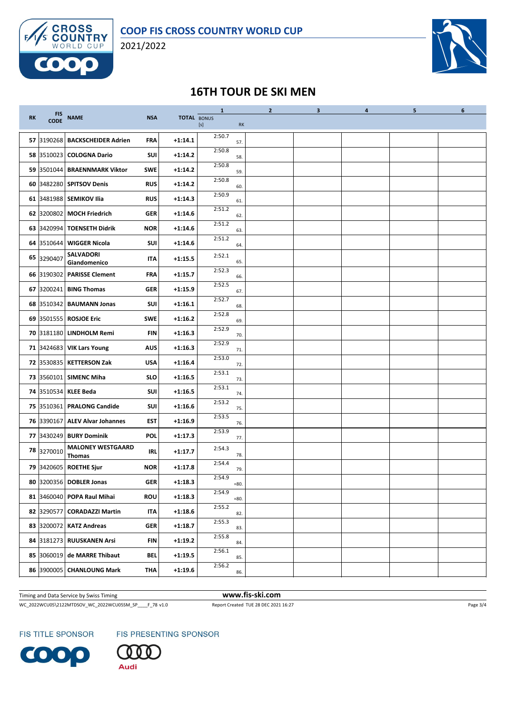



# **16TH TOUR DE SKI MEN**

|           |                           |                                    |            |                    | $\mathbf{1}$ |         | $\overline{2}$ | $\mathbf{3}$ | 4 | 5 | 6 |
|-----------|---------------------------|------------------------------------|------------|--------------------|--------------|---------|----------------|--------------|---|---|---|
| <b>RK</b> | <b>FIS</b><br><b>CODE</b> | <b>NAME</b>                        | <b>NSA</b> | <b>TOTAL BONUS</b> | $[s]$        | RK      |                |              |   |   |   |
|           | 57 3190268                | <b>BACKSCHEIDER Adrien</b>         | FRA        | $+1:14.1$          | 2:50.7       | 57.     |                |              |   |   |   |
|           |                           | 58 3510023 COLOGNA Dario           | SUI        | $+1:14.2$          | 2:50.8       | 58.     |                |              |   |   |   |
|           |                           | 59 3501044 BRAENNMARK Viktor       | SWE        | $+1:14.2$          | 2:50.8       | 59.     |                |              |   |   |   |
|           |                           | 60 3482280 SPITSOV Denis           | <b>RUS</b> | $+1:14.2$          | 2:50.8       | 60.     |                |              |   |   |   |
|           |                           | 61 3481988 SEMIKOV Ilia            | <b>RUS</b> | $+1:14.3$          | 2:50.9       | 61.     |                |              |   |   |   |
|           |                           | 62 3200802 MOCH Friedrich          | GER        | $+1:14.6$          | 2:51.2       | 62.     |                |              |   |   |   |
|           | 63 3420994                | <b>TOENSETH Didrik</b>             | <b>NOR</b> | $+1:14.6$          | 2:51.2       | 63.     |                |              |   |   |   |
|           | 64 3510644                | <b>WIGGER Nicola</b>               | <b>SUI</b> | $+1:14.6$          | 2:51.2       | 64.     |                |              |   |   |   |
|           | 65 3290407                | <b>SALVADORI</b><br>Giandomenico   | <b>ITA</b> | $+1:15.5$          | 2:52.1       | 65.     |                |              |   |   |   |
|           |                           | 66 3190302 PARISSE Clement         | <b>FRA</b> | $+1:15.7$          | 2:52.3       | 66.     |                |              |   |   |   |
|           |                           | 67 3200241 BING Thomas             | <b>GER</b> | $+1:15.9$          | 2:52.5       | 67.     |                |              |   |   |   |
|           | 68 3510342                | <b>BAUMANN Jonas</b>               | <b>SUI</b> | $+1:16.1$          | 2:52.7       | 68.     |                |              |   |   |   |
|           |                           | 69 3501555 ROSJOE Eric             | <b>SWE</b> | $+1:16.2$          | 2:52.8       | 69.     |                |              |   |   |   |
|           |                           | 70 3181180 LINDHOLM Remi           | <b>FIN</b> | $+1:16.3$          | 2:52.9       | 70.     |                |              |   |   |   |
|           |                           | <b>71 3424683 VIK Lars Young</b>   | AUS        | $+1:16.3$          | 2:52.9       | 71.     |                |              |   |   |   |
|           | 72 3530835                | <b>KETTERSON Zak</b>               | <b>USA</b> | $+1:16.4$          | 2:53.0       | 72.     |                |              |   |   |   |
|           |                           | 73 3560101 SIMENC Miha             | <b>SLO</b> | $+1:16.5$          | 2:53.1       | 73.     |                |              |   |   |   |
|           |                           | 74 3510534 KLEE Beda               | <b>SUI</b> | $+1:16.5$          | 2:53.1       | 74.     |                |              |   |   |   |
|           |                           | 75 3510361 PRALONG Candide         | SUI        | $+1:16.6$          | 2:53.2       | 75.     |                |              |   |   |   |
|           | 76 3390167                | <b>ALEV Alvar Johannes</b>         | <b>EST</b> | $+1:16.9$          | 2:53.5       | 76.     |                |              |   |   |   |
|           |                           | 77 3430249 BURY Dominik            | POL        | $+1:17.3$          | 2:53.9       | 77.     |                |              |   |   |   |
|           | 78 3270010                | <b>MALONEY WESTGAARD</b><br>Thomas | <b>IRL</b> | $+1:17.7$          | 2:54.3       | 78.     |                |              |   |   |   |
|           |                           | 79 3420605 ROETHE Sjur             | <b>NOR</b> | +1:17.8            | 2:54.4       | 79.     |                |              |   |   |   |
|           |                           | 80 3200356 DOBLER Jonas            | <b>GER</b> | $+1:18.3$          | 2:54.9       | $= 80.$ |                |              |   |   |   |
|           | 81 3460040                | POPA Raul Mihai                    | <b>ROU</b> | $+1:18.3$          | 2:54.9       | $= 80.$ |                |              |   |   |   |
|           | 82 3290577                | <b>CORADAZZI Martin</b>            | IΤΑ        | $+1:18.6$          | 2:55.2       | 82.     |                |              |   |   |   |
|           | 83 3200072                | <b>KATZ Andreas</b>                | <b>GER</b> | $+1:18.7$          | 2:55.3       | 83.     |                |              |   |   |   |
|           | 84 3181273                | <b>RUUSKANEN Arsi</b>              | <b>FIN</b> | $+1:19.2$          | 2:55.8       | 84.     |                |              |   |   |   |
|           | 85 3060019                | de MARRE Thibaut                   | <b>BEL</b> | $+1:19.5$          | 2:56.1       | 85.     |                |              |   |   |   |
|           | 86 3900005                | <b>CHANLOUNG Mark</b>              | THA        | $+1:19.6$          | 2:56.2       | 86.     |                |              |   |   |   |

Timing and Data Service by Swiss Timing **www.fis-ski.com**

WC\_2022WCU05\2122MTDSOV\_WC\_2022WCU05SM\_SP\_\_\_\_F\_78 v1.0 Report Created TUE 28 DEC 2021 16:27 Page 3/4